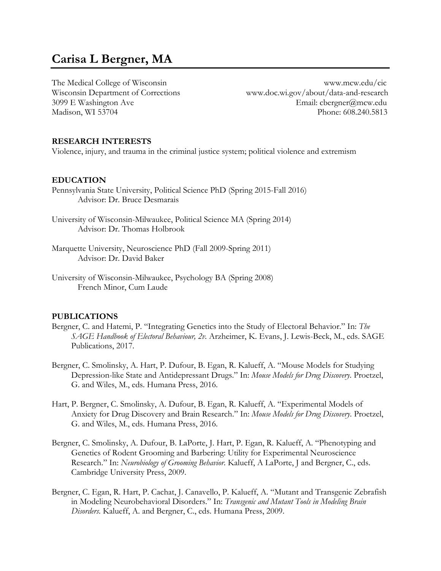# **Carisa L Bergner, MA**

The Medical College of Wisconsin www.mcw.edu/cic Madison, WI 53704

Wisconsin Department of Corrections www.doc.wi.gov/about/data-and-research 3099 E Washington Ave Email: cbergner@mcw.edu<br>Madison. WI 53704 Phone: 608.240.5813

#### **RESEARCH INTERESTS**

Violence, injury, and trauma in the criminal justice system; political violence and extremism

#### **EDUCATION**

- Pennsylvania State University, Political Science PhD (Spring 2015-Fall 2016) Advisor: Dr. Bruce Desmarais
- University of Wisconsin-Milwaukee, Political Science MA (Spring 2014) Advisor: Dr. Thomas Holbrook
- Marquette University, Neuroscience PhD (Fall 2009-Spring 2011) Advisor: Dr. David Baker
- University of Wisconsin-Milwaukee, Psychology BA (Spring 2008) French Minor, Cum Laude

#### **PUBLICATIONS**

- Bergner, C. and Hatemi, P. "Integrating Genetics into the Study of Electoral Behavior." In: *The SAGE Handbook of Electoral Behaviour, 2v.* Arzheimer, K. Evans, J. Lewis-Beck, M., eds. SAGE Publications, 2017.
- Bergner, C. Smolinsky, A. Hart, P. Dufour, B. Egan, R. Kalueff, A. "Mouse Models for Studying Depression-like State and Antidepressant Drugs." In: *Mouse Models for Drug Discovery*. Proetzel, G. and Wiles, M., eds. Humana Press, 2016.
- Hart, P. Bergner, C. Smolinsky, A. Dufour, B. Egan, R. Kalueff, A. "Experimental Models of Anxiety for Drug Discovery and Brain Research." In: *Mouse Models for Drug Discovery*. Proetzel, G. and Wiles, M., eds. Humana Press, 2016.
- Bergner, C. Smolinsky, A. Dufour, B. LaPorte, J. Hart, P. Egan, R. Kalueff, A. "Phenotyping and Genetics of Rodent Grooming and Barbering: Utility for Experimental Neuroscience Research." In: *Neurobiology of Grooming Behavior*. Kalueff, A LaPorte, J and Bergner, C., eds. Cambridge University Press, 2009.
- Bergner, C. Egan, R. Hart, P. Cachat, J. Canavello, P. Kalueff, A. "Mutant and Transgenic Zebrafish in Modeling Neurobehavioral Disorders." In: *Transgenic and Mutant Tools in Modeling Brain Disorders*. Kalueff, A. and Bergner, C., eds. Humana Press, 2009.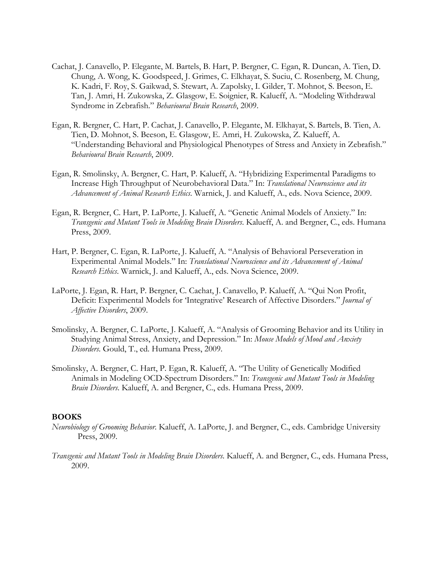- Cachat, J. Canavello, P. Elegante, M. Bartels, B. Hart, P. Bergner, C. Egan, R. Duncan, A. Tien, D. Chung, A. Wong, K. Goodspeed, J. Grimes, C. Elkhayat, S. Suciu, C. Rosenberg, M. Chung, K. Kadri, F. Roy, S. Gaikwad, S. Stewart, A. Zapolsky, I. Gilder, T. Mohnot, S. Beeson, E. Tan, J. Amri, H. Zukowska, Z. Glasgow, E. Soignier, R. Kalueff, A. "Modeling Withdrawal Syndrome in Zebrafish." *Behavioural Brain Research*, 2009.
- Egan, R. Bergner, C. Hart, P. Cachat, J. Canavello, P. Elegante, M. Elkhayat, S. Bartels, B. Tien, A. Tien, D. Mohnot, S. Beeson, E. Glasgow, E. Amri, H. Zukowska, Z. Kalueff, A. "Understanding Behavioral and Physiological Phenotypes of Stress and Anxiety in Zebrafish." *Behavioural Brain Research*, 2009.
- Egan, R. Smolinsky, A. Bergner, C. Hart, P. Kalueff, A. "Hybridizing Experimental Paradigms to Increase High Throughput of Neurobehavioral Data." In: *Translational Neuroscience and its Advancement of Animal Research Ethics*. Warnick, J. and Kalueff, A., eds. Nova Science, 2009.
- Egan, R. Bergner, C. Hart, P. LaPorte, J. Kalueff, A. "Genetic Animal Models of Anxiety." In: *Transgenic and Mutant Tools in Modeling Brain Disorders*. Kalueff, A. and Bergner, C., eds. Humana Press, 2009.
- Hart, P. Bergner, C. Egan, R. LaPorte, J. Kalueff, A. "Analysis of Behavioral Perseveration in Experimental Animal Models." In: *Translational Neuroscience and its Advancement of Animal Research Ethics*. Warnick, J. and Kalueff, A., eds. Nova Science, 2009.
- LaPorte, J. Egan, R. Hart, P. Bergner, C. Cachat, J. Canavello, P. Kalueff, A. "Qui Non Profit, Deficit: Experimental Models for 'Integrative' Research of Affective Disorders." *Journal of Affective Disorders*, 2009.
- Smolinsky, A. Bergner, C. LaPorte, J. Kalueff, A. "Analysis of Grooming Behavior and its Utility in Studying Animal Stress, Anxiety, and Depression." In: *Mouse Models of Mood and Anxiety Disorders*. Gould, T., ed. Humana Press, 2009.
- Smolinsky, A. Bergner, C. Hart, P. Egan, R. Kalueff, A. "The Utility of Genetically Modified Animals in Modeling OCD-Spectrum Disorders." In: *Transgenic and Mutant Tools in Modeling Brain Disorders*. Kalueff, A. and Bergner, C., eds. Humana Press, 2009.

# **BOOKS**

- *Neurobiology of Grooming Behavior*. Kalueff, A. LaPorte, J. and Bergner, C., eds. Cambridge University Press, 2009.
- *Transgenic and Mutant Tools in Modeling Brain Disorders*. Kalueff, A. and Bergner, C., eds. Humana Press, 2009.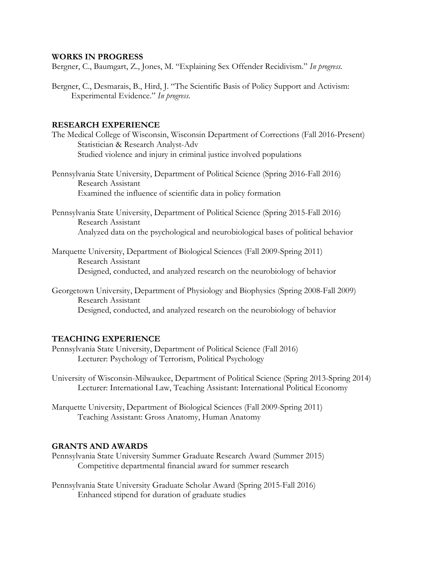## **WORKS IN PROGRESS**

Bergner, C., Baumgart, Z., Jones, M. "Explaining Sex Offender Recidivism." *In progress.*

Bergner, C., Desmarais, B., Hird, J. "The Scientific Basis of Policy Support and Activism: Experimental Evidence." *In progress*.

# **RESEARCH EXPERIENCE**

- The Medical College of Wisconsin, Wisconsin Department of Corrections (Fall 2016-Present) Statistician & Research Analyst-Adv Studied violence and injury in criminal justice involved populations
- Pennsylvania State University, Department of Political Science (Spring 2016-Fall 2016) Research Assistant Examined the influence of scientific data in policy formation
- Pennsylvania State University, Department of Political Science (Spring 2015-Fall 2016) Research Assistant Analyzed data on the psychological and neurobiological bases of political behavior
- Marquette University, Department of Biological Sciences (Fall 2009-Spring 2011) Research Assistant Designed, conducted, and analyzed research on the neurobiology of behavior
- Georgetown University, Department of Physiology and Biophysics (Spring 2008-Fall 2009) Research Assistant Designed, conducted, and analyzed research on the neurobiology of behavior

# **TEACHING EXPERIENCE**

- Pennsylvania State University, Department of Political Science (Fall 2016) Lecturer: Psychology of Terrorism, Political Psychology
- University of Wisconsin-Milwaukee, Department of Political Science (Spring 2013-Spring 2014) Lecturer: International Law, Teaching Assistant: International Political Economy
- Marquette University, Department of Biological Sciences (Fall 2009-Spring 2011) Teaching Assistant: Gross Anatomy, Human Anatomy

## **GRANTS AND AWARDS**

- Pennsylvania State University Summer Graduate Research Award (Summer 2015) Competitive departmental financial award for summer research
- Pennsylvania State University Graduate Scholar Award (Spring 2015-Fall 2016) Enhanced stipend for duration of graduate studies